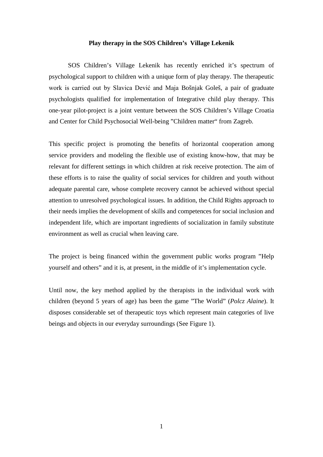## **Play therapy in the SOS Children's Village Lekenik**

SOS Children's Village Lekenik has recently enriched it's spectrum of psychological support to children with a unique form of play therapy. The therapeutic work is carried out by Slavica Dević and Maja Bošnjak Goleš, a pair of graduate psychologists qualified for implementation of Integrative child play therapy. This one-year pilot-project is a joint venture between the SOS Children's Village Croatia and Center for Child Psychosocial Well-being "Children matter" from Zagreb.

This specific project is promoting the benefits of horizontal cooperation among service providers and modeling the flexible use of existing know-how, that may be relevant for different settings in which children at risk receive protection. The aim of these efforts is to raise the quality of social services for children and youth without adequate parental care, whose complete recovery cannot be achieved without special attention to unresolved psychological issues. In addition, the Child Rights approach to their needs implies the development of skills and competences for social inclusion and independent life, which are important ingredients of socialization in family substitute environment as well as crucial when leaving care.

The project is being financed within the government public works program "Help yourself and others" and it is, at present, in the middle of it's implementation cycle.

Until now, the key method applied by the therapists in the individual work with children (beyond 5 years of age) has been the game "The World" (*Polcz Alaine*). It disposes considerable set of therapeutic toys which represent main categories of live beings and objects in our everyday surroundings (See Figure 1).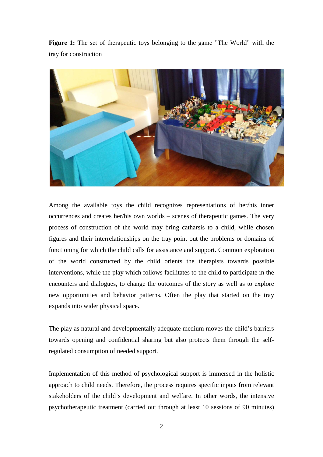**Figure 1:** The set of therapeutic toys belonging to the game "The World" with the tray for construction



Among the available toys the child recognizes representations of her/his inner occurrences and creates her/his own worlds – scenes of therapeutic games. The very process of construction of the world may bring catharsis to a child, while chosen figures and their interrelationships on the tray point out the problems or domains of functioning for which the child calls for assistance and support. Common exploration of the world constructed by the child orients the therapists towards possible interventions, while the play which follows facilitates to the child to participate in the encounters and dialogues, to change the outcomes of the story as well as to explore new opportunities and behavior patterns. Often the play that started on the tray expands into wider physical space.

The play as natural and developmentally adequate medium moves the child's barriers towards opening and confidential sharing but also protects them through the selfregulated consumption of needed support.

Implementation of this method of psychological support is immersed in the holistic approach to child needs. Therefore, the process requires specific inputs from relevant stakeholders of the child's development and welfare. In other words, the intensive psychotherapeutic treatment (carried out through at least 10 sessions of 90 minutes)